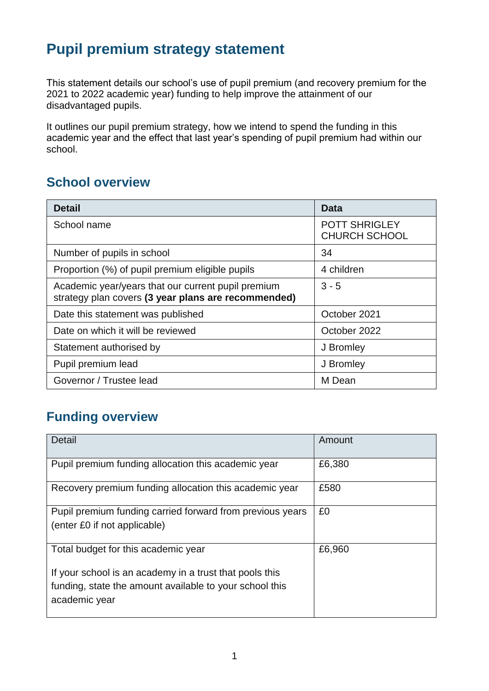## **Pupil premium strategy statement**

This statement details our school's use of pupil premium (and recovery premium for the 2021 to 2022 academic year) funding to help improve the attainment of our disadvantaged pupils.

It outlines our pupil premium strategy, how we intend to spend the funding in this academic year and the effect that last year's spending of pupil premium had within our school.

## **School overview**

| <b>Detail</b>                                                                                             | Data                                         |
|-----------------------------------------------------------------------------------------------------------|----------------------------------------------|
| School name                                                                                               | <b>POTT SHRIGLEY</b><br><b>CHURCH SCHOOL</b> |
| Number of pupils in school                                                                                | 34                                           |
| Proportion (%) of pupil premium eligible pupils                                                           | 4 children                                   |
| Academic year/years that our current pupil premium<br>strategy plan covers (3 year plans are recommended) | $3 - 5$                                      |
| Date this statement was published                                                                         | October 2021                                 |
| Date on which it will be reviewed                                                                         | October 2022                                 |
| Statement authorised by                                                                                   | J Bromley                                    |
| Pupil premium lead                                                                                        | J Bromley                                    |
| Governor / Trustee lead                                                                                   | M Dean                                       |

## **Funding overview**

| <b>Detail</b>                                                                                                                       | Amount |
|-------------------------------------------------------------------------------------------------------------------------------------|--------|
| Pupil premium funding allocation this academic year                                                                                 | £6,380 |
| Recovery premium funding allocation this academic year                                                                              | £580   |
| Pupil premium funding carried forward from previous years<br>(enter £0 if not applicable)                                           | £0     |
| Total budget for this academic year                                                                                                 | £6,960 |
| If your school is an academy in a trust that pools this<br>funding, state the amount available to your school this<br>academic year |        |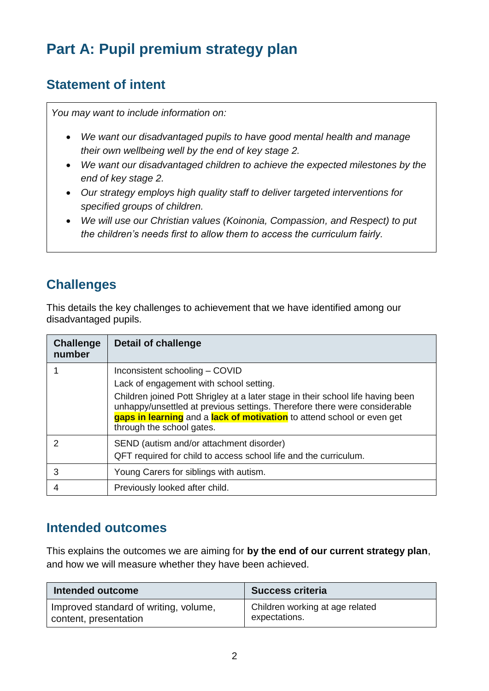# **Part A: Pupil premium strategy plan**

## **Statement of intent**

*You may want to include information on:*

- *We want our disadvantaged pupils to have good mental health and manage their own wellbeing well by the end of key stage 2.*
- *We want our disadvantaged children to achieve the expected milestones by the end of key stage 2.*
- *Our strategy employs high quality staff to deliver targeted interventions for specified groups of children.*
- *We will use our Christian values (Koinonia, Compassion, and Respect) to put the children's needs first to allow them to access the curriculum fairly.*

## **Challenges**

This details the key challenges to achievement that we have identified among our disadvantaged pupils.

| <b>Challenge</b><br>number | <b>Detail of challenge</b>                                                                                                                                                                                                                                          |
|----------------------------|---------------------------------------------------------------------------------------------------------------------------------------------------------------------------------------------------------------------------------------------------------------------|
|                            | Inconsistent schooling - COVID                                                                                                                                                                                                                                      |
|                            | Lack of engagement with school setting.                                                                                                                                                                                                                             |
|                            | Children joined Pott Shrigley at a later stage in their school life having been<br>unhappy/unsettled at previous settings. Therefore there were considerable<br>gaps in learning and a lack of motivation to attend school or even get<br>through the school gates. |
|                            | SEND (autism and/or attachment disorder)                                                                                                                                                                                                                            |
|                            | QFT required for child to access school life and the curriculum.                                                                                                                                                                                                    |
| 3                          | Young Carers for siblings with autism.                                                                                                                                                                                                                              |
|                            | Previously looked after child.                                                                                                                                                                                                                                      |

### **Intended outcomes**

This explains the outcomes we are aiming for **by the end of our current strategy plan**, and how we will measure whether they have been achieved.

| Intended outcome                      | <b>Success criteria</b>         |
|---------------------------------------|---------------------------------|
| Improved standard of writing, volume, | Children working at age related |
| content, presentation                 | expectations.                   |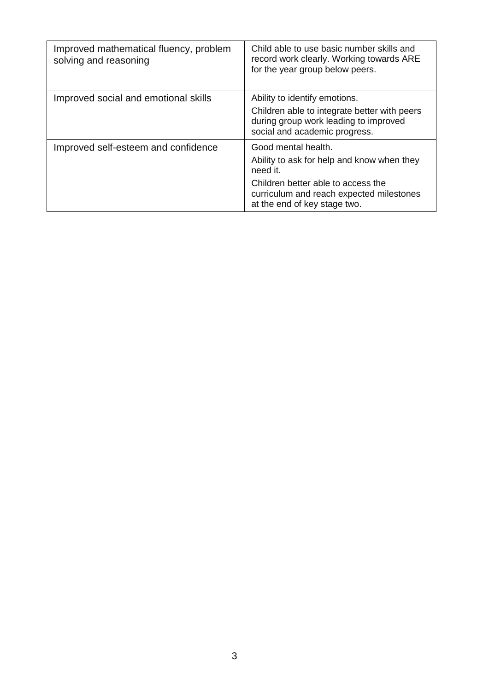| Improved mathematical fluency, problem<br>solving and reasoning | Child able to use basic number skills and<br>record work clearly. Working towards ARE<br>for the year group below peers.                                                                        |
|-----------------------------------------------------------------|-------------------------------------------------------------------------------------------------------------------------------------------------------------------------------------------------|
| Improved social and emotional skills                            | Ability to identify emotions.<br>Children able to integrate better with peers<br>during group work leading to improved<br>social and academic progress.                                         |
| Improved self-esteem and confidence                             | Good mental health.<br>Ability to ask for help and know when they<br>need it.<br>Children better able to access the<br>curriculum and reach expected milestones<br>at the end of key stage two. |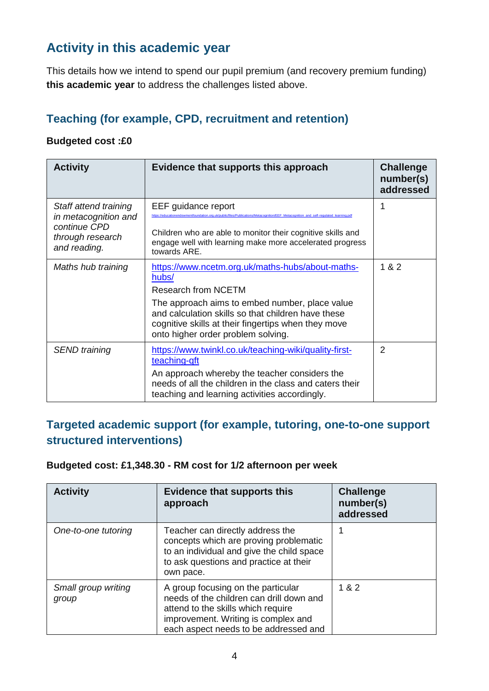## **Activity in this academic year**

This details how we intend to spend our pupil premium (and recovery premium funding) **this academic year** to address the challenges listed above.

#### **Teaching (for example, CPD, recruitment and retention)**

#### **Budgeted cost :£0**

| <b>Activity</b>                                                          | Evidence that supports this approach                                                                                                                                                              | <b>Challenge</b><br>number(s)<br>addressed |
|--------------------------------------------------------------------------|---------------------------------------------------------------------------------------------------------------------------------------------------------------------------------------------------|--------------------------------------------|
| Staff attend training                                                    | EEF guidance report<br>idowmentfoundation.org.uk/public/files/Publications/Metacognition/EEF_Metacognition_and_self-regulated_learning.pc                                                         |                                            |
| in metacognition and<br>continue CPD<br>through research<br>and reading. | Children who are able to monitor their cognitive skills and<br>engage well with learning make more accelerated progress<br>towards ARE.                                                           |                                            |
| Maths hub training                                                       | https://www.ncetm.org.uk/maths-hubs/about-maths-<br>hubs/                                                                                                                                         | 1 & 2                                      |
|                                                                          | Research from NCETM                                                                                                                                                                               |                                            |
|                                                                          | The approach aims to embed number, place value<br>and calculation skills so that children have these<br>cognitive skills at their fingertips when they move<br>onto higher order problem solving. |                                            |
| <b>SEND</b> training                                                     | https://www.twinkl.co.uk/teaching-wiki/quality-first-<br>teaching-qft                                                                                                                             | $\overline{2}$                             |
|                                                                          | An approach whereby the teacher considers the<br>needs of all the children in the class and caters their<br>teaching and learning activities accordingly.                                         |                                            |

#### **Targeted academic support (for example, tutoring, one-to-one support structured interventions)**

**Budgeted cost: £1,348.30 - RM cost for 1/2 afternoon per week**

| <b>Activity</b>              | <b>Evidence that supports this</b><br>approach                                                                                                                                                       | <b>Challenge</b><br>number(s)<br>addressed |
|------------------------------|------------------------------------------------------------------------------------------------------------------------------------------------------------------------------------------------------|--------------------------------------------|
| One-to-one tutoring          | Teacher can directly address the<br>concepts which are proving problematic<br>to an individual and give the child space<br>to ask questions and practice at their<br>own pace.                       |                                            |
| Small group writing<br>group | A group focusing on the particular<br>needs of the children can drill down and<br>attend to the skills which require<br>improvement. Writing is complex and<br>each aspect needs to be addressed and | 1 & 2                                      |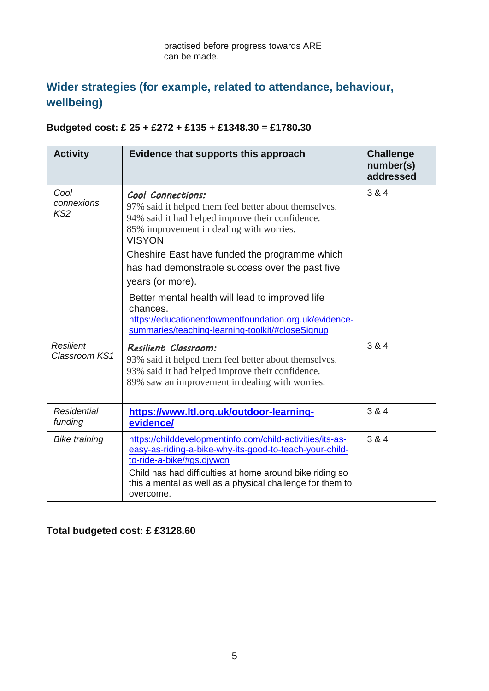| practised before progress towards ARE |  |
|---------------------------------------|--|
| can be made.                          |  |

## **Wider strategies (for example, related to attendance, behaviour, wellbeing)**

### **Budgeted cost: £ 25 + £272 + £135 + £1348.30 = £1780.30**

| <b>Activity</b>                       | Evidence that supports this approach                                                                                                                                                                                                                                                                                                                                                                                                                                                            | <b>Challenge</b><br>number(s)<br>addressed |
|---------------------------------------|-------------------------------------------------------------------------------------------------------------------------------------------------------------------------------------------------------------------------------------------------------------------------------------------------------------------------------------------------------------------------------------------------------------------------------------------------------------------------------------------------|--------------------------------------------|
| Cool<br>connexions<br>KS <sub>2</sub> | Cool Connections:<br>97% said it helped them feel better about themselves.<br>94% said it had helped improve their confidence.<br>85% improvement in dealing with worries.<br><b>VISYON</b><br>Cheshire East have funded the programme which<br>has had demonstrable success over the past five<br>years (or more).<br>Better mental health will lead to improved life<br>chances.<br>https://educationendowmentfoundation.org.uk/evidence-<br>summaries/teaching-learning-toolkit/#closeSignup | 3 & 4                                      |
| <b>Resilient</b><br>Classroom KS1     | Resilient Classroom:<br>93% said it helped them feel better about themselves.<br>93% said it had helped improve their confidence.<br>89% saw an improvement in dealing with worries.                                                                                                                                                                                                                                                                                                            | 3 & 4                                      |
| <b>Residential</b><br>funding         | https://www.ltl.org.uk/outdoor-learning-<br>evidence/                                                                                                                                                                                                                                                                                                                                                                                                                                           | 3 & 4                                      |
| <b>Bike training</b>                  | https://childdevelopmentinfo.com/child-activities/its-as-<br>easy-as-riding-a-bike-why-its-good-to-teach-your-child-<br>to-ride-a-bike/#gs.djywcn<br>Child has had difficulties at home around bike riding so<br>this a mental as well as a physical challenge for them to<br>overcome.                                                                                                                                                                                                         | 3 & 4                                      |

### **Total budgeted cost: £ £3128.60**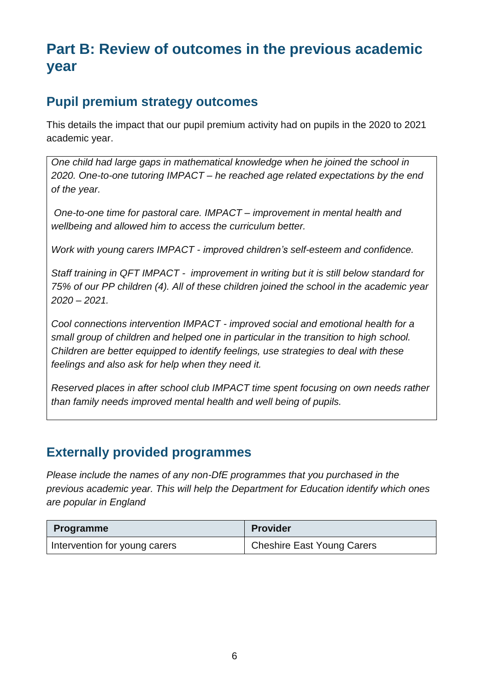## **Part B: Review of outcomes in the previous academic year**

### **Pupil premium strategy outcomes**

This details the impact that our pupil premium activity had on pupils in the 2020 to 2021 academic year.

*One child had large gaps in mathematical knowledge when he joined the school in 2020. One-to-one tutoring IMPACT – he reached age related expectations by the end of the year.*

*One-to-one time for pastoral care. IMPACT – improvement in mental health and wellbeing and allowed him to access the curriculum better.*

*Work with young carers IMPACT - improved children's self-esteem and confidence.*

*Staff training in QFT IMPACT - improvement in writing but it is still below standard for 75% of our PP children (4). All of these children joined the school in the academic year 2020 – 2021.*

*Cool connections intervention IMPACT - improved social and emotional health for a small group of children and helped one in particular in the transition to high school. Children are better equipped to identify feelings, use strategies to deal with these feelings and also ask for help when they need it.*

*Reserved places in after school club IMPACT time spent focusing on own needs rather than family needs improved mental health and well being of pupils.*

### **Externally provided programmes**

*Please include the names of any non-DfE programmes that you purchased in the previous academic year. This will help the Department for Education identify which ones are popular in England*

| <b>Programme</b>              | Provider                          |
|-------------------------------|-----------------------------------|
| Intervention for young carers | <b>Cheshire East Young Carers</b> |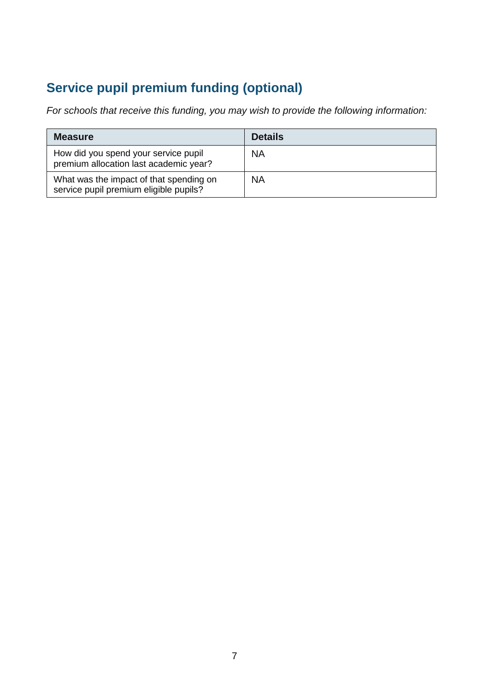## **Service pupil premium funding (optional)**

*For schools that receive this funding, you may wish to provide the following information:* 

| <b>Measure</b>                                                                    | <b>Details</b> |
|-----------------------------------------------------------------------------------|----------------|
| How did you spend your service pupil<br>premium allocation last academic year?    | <b>NA</b>      |
| What was the impact of that spending on<br>service pupil premium eligible pupils? | <b>NA</b>      |